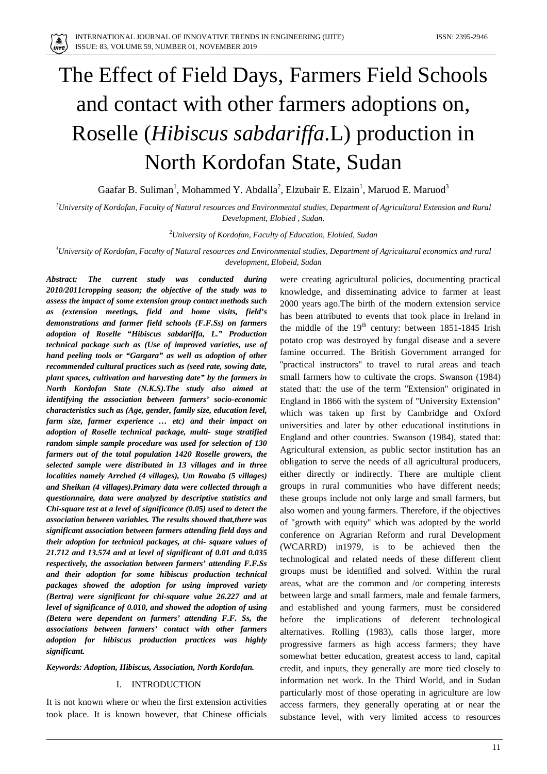$\binom{4}{11176}$ 

# The Effect of Field Days, Farmers Field Schools and contact with other farmers adoptions on, Roselle (*Hibiscus sabdariffa*.L) production in North Kordofan State, Sudan

Gaafar B. Suliman<sup>1</sup>, Mohammed Y. Abdalla<sup>2</sup>, Elzubair E. Elzain<sup>1</sup>, Maruod E. Maruod<sup>3</sup>

*1 University of Kordofan, Faculty of Natural resources and Environmental studies, Department of Agricultural Extension and Rural Development, Elobied , Sudan*.

2 *University of Kordofan, Faculty of Education, Elobied, Sudan*

3 *University of Kordofan, Faculty of Natural resources and Environmental studies, Department of Agricultural economics and rural development, Elobeid, Sudan*

*Abstract: The current study was conducted during 2010/2011cropping season; the objective of the study was to assess the impact of some extension group contact methods such as (extension meetings, field and home visits, field's demonstrations and farmer field schools (F.F.Ss) on farmers adoption of Roselle "Hibiscus sabdariffa, L." Production technical package such as (Use of improved varieties, use of hand peeling tools or "Gargara" as well as adoption of other recommended cultural practices such as (seed rate, sowing date, plant spaces, cultivation and harvesting date" by the farmers in North Kordofan State (N.K.S).The study also aimed at identifying the association between farmers' socio-economic characteristics such as (Age, gender, family size, education level, farm size, farmer experience … etc) and their impact on adoption of Roselle technical package, multi- stage stratified random simple sample procedure was used for selection of 130 farmers out of the total population 1420 Roselle growers, the selected sample were distributed in 13 villages and in three localities namely Arrehed (4 villages), Um Rowaba (5 villages) and Sheikan (4 villages).Primary data were collected through a questionnaire, data were analyzed by descriptive statistics and Chi-square test at a level of significance (0.05) used to detect the association between variables. The results showed that,there was significant association between farmers attending field days and their adoption for technical packages, at chi- square values of 21.712 and 13.574 and at level of significant of 0.01 and 0.035 respectively, the association between farmers' attending F.F.Ss and their adoption for some hibiscus production technical packages showed the adoption for using improved variety (Bertra) were significant for chi-square value 26.227 and at level of significance of 0.010, and showed the adoption of using (Betera were dependent on farmers' attending F.F. Ss, the associations between farmers' contact with other farmers adoption for hibiscus production practices was highly significant.*

#### *Keywords: Adoption, Hibiscus, Association, North Kordofan.*

### I. INTRODUCTION

It is not known where or when the first extension activities took place. It is known however, that Chinese officials were creating agricultural policies, documenting practical knowledge, and disseminating advice to farmer at least 2000 years ago.The birth of the modern extension service has been attributed to events that took place in Ireland in the middle of the  $19<sup>th</sup>$  century: between 1851-1845 Irish potato crop was destroyed by fungal disease and a severe famine occurred. The British Government arranged for ''practical instructors'' to travel to rural areas and teach small farmers how to cultivate the crops. Swanson (1984) stated that: the use of the term ''Extension'' originated in England in 1866 with the system of ''University Extension'' which was taken up first by Cambridge and Oxford universities and later by other educational institutions in England and other countries. Swanson (1984), stated that: Agricultural extension, as public sector institution has an obligation to serve the needs of all agricultural producers, either directly or indirectly. There are multiple client groups in rural communities who have different needs; these groups include not only large and small farmers, but also women and young farmers. Therefore, if the objectives of "growth with equity" which was adopted by the world conference on Agrarian Reform and rural Development (WCARRD) in1979, is to be achieved then the technological and related needs of these different client groups must be identified and solved. Within the rural areas, what are the common and /or competing interests between large and small farmers, male and female farmers, and established and young farmers, must be considered before the implications of deferent technological alternatives. Rolling (1983), calls those larger, more progressive farmers as high access farmers; they have somewhat better education, greatest access to land, capital credit, and inputs, they generally are more tied closely to information net work. In the Third World, and in Sudan particularly most of those operating in agriculture are low access farmers, they generally operating at or near the substance level, with very limited access to resources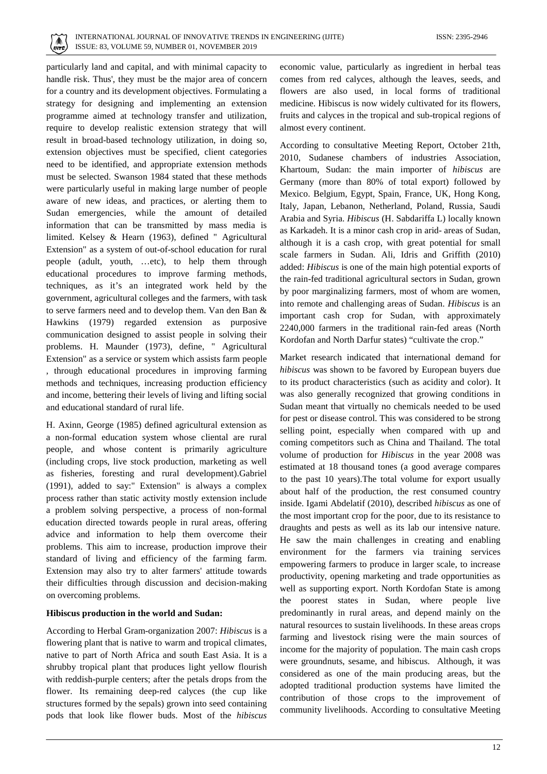

particularly land and capital, and with minimal capacity to handle risk. Thus', they must be the major area of concern for a country and its development objectives. Formulating a strategy for designing and implementing an extension programme aimed at technology transfer and utilization, require to develop realistic extension strategy that will result in broad-based technology utilization, in doing so, extension objectives must be specified, client categories need to be identified, and appropriate extension methods must be selected. Swanson 1984 stated that these methods were particularly useful in making large number of people aware of new ideas, and practices, or alerting them to Sudan emergencies, while the amount of detailed information that can be transmitted by mass media is limited. Kelsey & Hearn (1963), defined " Agricultural Extension" as a system of out-of-school education for rural people (adult, youth, …etc), to help them through educational procedures to improve farming methods, techniques, as it's an integrated work held by the government, agricultural colleges and the farmers, with task to serve farmers need and to develop them. Van den Ban & Hawkins (1979) regarded extension as purposive communication designed to assist people in solving their problems. H. Maunder (1973), define, " Agricultural Extension" as a service or system which assists farm people , through educational procedures in improving farming methods and techniques, increasing production efficiency and income, bettering their levels of living and lifting social and educational standard of rural life.

H. Axinn, George (1985) defined agricultural extension as a non-formal education system whose cliental are rural people, and whose content is primarily agriculture (including crops, live stock production, marketing as well as fisheries, foresting and rural development).Gabriel (1991), added to say:" Extension" is always a complex process rather than static activity mostly extension include a problem solving perspective, a process of non-formal education directed towards people in rural areas, offering advice and information to help them overcome their problems. This aim to increase, production improve their standard of living and efficiency of the farming farm. Extension may also try to alter farmers' attitude towards their difficulties through discussion and decision-making on overcoming problems.

## **Hibiscus production in the world and Sudan:**

According to Herbal Gram-organization 2007: *Hibiscus* is a flowering plant that is native to warm and tropical climates, native to part of North Africa and south East Asia. It is a shrubby tropical plant that produces light yellow flourish with reddish-purple centers; after the petals drops from the flower. Its remaining deep-red calyces (the cup like structures formed by the sepals) grown into seed containing pods that look like flower buds. Most of the *hibiscus*

economic value, particularly as ingredient in herbal teas comes from red calyces, although the leaves, seeds, and flowers are also used, in local forms of traditional medicine. Hibiscus is now widely cultivated for its flowers, fruits and calyces in the tropical and sub-tropical regions of almost every continent.

According to consultative Meeting Report, October 21th, 2010, Sudanese chambers of industries Association, Khartoum, Sudan: the main importer of *hibiscus* are Germany (more than 80% of total export) followed by Mexico. Belgium, Egypt, Spain, France, UK, Hong Kong, Italy, Japan, Lebanon, Netherland, Poland, Russia, Saudi Arabia and Syria. *Hibiscus* (H. Sabdariffa L) locally known as Karkadeh. It is a minor cash crop in arid- areas of Sudan, although it is a cash crop, with great potential for small scale farmers in Sudan. Ali, Idris and Griffith (2010) added: *Hibiscus* is one of the main high potential exports of the rain-fed traditional agricultural sectors in Sudan, grown by poor marginalizing farmers, most of whom are women, into remote and challenging areas of Sudan. *Hibiscus* is an important cash crop for Sudan, with approximately 2240,000 farmers in the traditional rain-fed areas (North Kordofan and North Darfur states) "cultivate the crop."

Market research indicated that international demand for *hibiscus* was shown to be favored by European buyers due to its product characteristics (such as acidity and color). It was also generally recognized that growing conditions in Sudan meant that virtually no chemicals needed to be used for pest or disease control. This was considered to be strong selling point, especially when compared with up and coming competitors such as China and Thailand. The total volume of production for *Hibiscus* in the year 2008 was estimated at 18 thousand tones (a good average compares to the past 10 years).The total volume for export usually about half of the production, the rest consumed country inside. Igami Abdelatif (2010), described *hibiscus* as one of the most important crop for the poor, due to its resistance to draughts and pests as well as its lab our intensive nature. He saw the main challenges in creating and enabling environment for the farmers via training services empowering farmers to produce in larger scale, to increase productivity, opening marketing and trade opportunities as well as supporting export. North Kordofan State is among the poorest states in Sudan, where people live predominantly in rural areas, and depend mainly on the natural resources to sustain livelihoods. In these areas crops farming and livestock rising were the main sources of income for the majority of population. The main cash crops were groundnuts, sesame, and hibiscus. Although, it was considered as one of the main producing areas, but the adopted traditional production systems have limited the contribution of those crops to the improvement of community livelihoods. According to consultative Meeting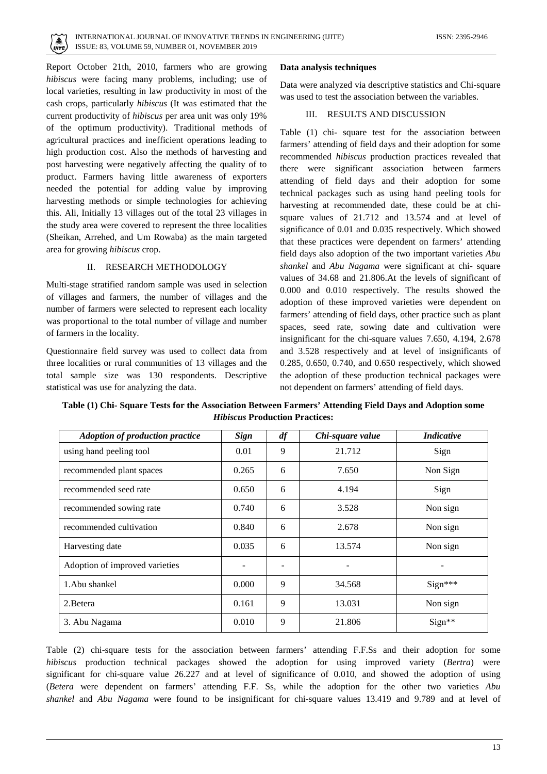

Report October 21th, 2010, farmers who are growing *hibiscus* were facing many problems, including; use of local varieties, resulting in law productivity in most of the cash crops, particularly *hibiscus* (It was estimated that the current productivity of *hibiscus* per area unit was only 19% of the optimum productivity). Traditional methods of agricultural practices and inefficient operations leading to high production cost. Also the methods of harvesting and post harvesting were negatively affecting the quality of to product. Farmers having little awareness of exporters needed the potential for adding value by improving harvesting methods or simple technologies for achieving this. Ali, Initially 13 villages out of the total 23 villages in the study area were covered to represent the three localities (Sheikan, Arrehed, and Um Rowaba) as the main targeted area for growing *hibiscus* crop.

## II. RESEARCH METHODOLOGY

Multi-stage stratified random sample was used in selection of villages and farmers, the number of villages and the number of farmers were selected to represent each locality was proportional to the total number of village and number of farmers in the locality.

Questionnaire field survey was used to collect data from three localities or rural communities of 13 villages and the total sample size was 130 respondents. Descriptive statistical was use for analyzing the data.

# **Data analysis techniques**

Data were analyzed via descriptive statistics and Chi-square was used to test the association between the variables.

# III. RESULTS AND DISCUSSION

Table (1) chi- square test for the association between farmers' attending of field days and their adoption for some recommended *hibiscus* production practices revealed that there were significant association between farmers attending of field days and their adoption for some technical packages such as using hand peeling tools for harvesting at recommended date, these could be at chisquare values of 21.712 and 13.574 and at level of significance of 0.01 and 0.035 respectively. Which showed that these practices were dependent on farmers' attending field days also adoption of the two important varieties *Abu shankel* and *Abu Nagama* were significant at chi- square values of 34.68 and 21.806.At the levels of significant of 0.000 and 0.010 respectively. The results showed the adoption of these improved varieties were dependent on farmers' attending of field days, other practice such as plant spaces, seed rate, sowing date and cultivation were insignificant for the chi-square values 7.650, 4.194, 2.678 and 3.528 respectively and at level of insignificants of 0.285, 0.650, 0.740, and 0.650 respectively, which showed the adoption of these production technical packages were not dependent on farmers' attending of field days.

**Table (1) Chi- Square Tests for the Association Between Farmers' Attending Field Days and Adoption some**  *Hibiscus* **Production Practices:**

| <b>Adoption of production practice</b> | <b>Sign</b> | df | Chi-square value | <i>Indicative</i> |
|----------------------------------------|-------------|----|------------------|-------------------|
| using hand peeling tool                | 0.01        | 9  | 21.712           | Sign              |
| recommended plant spaces               | 0.265       | 6  | 7.650            | Non Sign          |
| recommended seed rate                  | 0.650       | 6  | 4.194            | Sign              |
| recommended sowing rate                | 0.740       | 6  | 3.528            | Non sign          |
| recommended cultivation                | 0.840       | 6  | 2.678            | Non sign          |
| Harvesting date                        | 0.035       | 6  | 13.574           | Non sign          |
| Adoption of improved varieties         |             | ۰  |                  |                   |
| 1. Abu shankel                         | 0.000       | 9  | 34.568           | $Sign***$         |
| 2. Betera                              | 0.161       | 9  | 13.031           | Non sign          |
| 3. Abu Nagama                          | 0.010       | 9  | 21.806           | Sign**            |

Table (2) chi-square tests for the association between farmers' attending F.F.Ss and their adoption for some *hibiscus* production technical packages showed the adoption for using improved variety (*Bertra*) were significant for chi-square value 26.227 and at level of significance of 0.010, and showed the adoption of using (*Betera* were dependent on farmers' attending F.F. Ss, while the adoption for the other two varieties *Abu shankel* and *Abu Nagama* were found to be insignificant for chi-square values 13.419 and 9.789 and at level of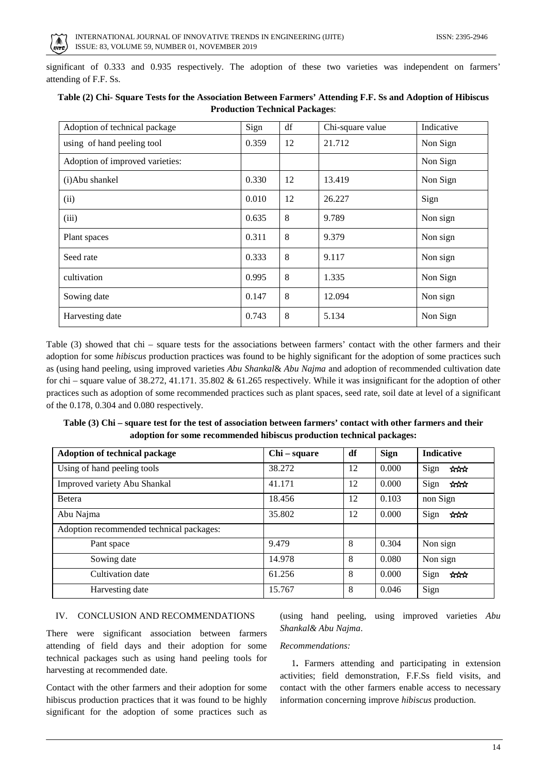

significant of 0.333 and 0.935 respectively. The adoption of these two varieties was independent on farmers' attending of F.F. Ss.

| Adoption of technical package   | Sign  | df      | Chi-square value | Indicative |
|---------------------------------|-------|---------|------------------|------------|
| using of hand peeling tool      | 0.359 | 12      | 21.712           | Non Sign   |
| Adoption of improved varieties: |       |         |                  | Non Sign   |
| (i)Abu shankel                  | 0.330 | 12      | 13.419           | Non Sign   |
| (ii)                            | 0.010 | 12      | 26.227           | Sign       |
| (iii)                           | 0.635 | 8       | 9.789            | Non sign   |
| Plant spaces                    | 0.311 | 8       | 9.379            | Non sign   |
| Seed rate                       | 0.333 | 8       | 9.117            | Non sign   |
| cultivation                     | 0.995 | 8       | 1.335            | Non Sign   |
| Sowing date                     | 0.147 | 8       | 12.094           | Non sign   |
| Harvesting date                 | 0.743 | $\,8\,$ | 5.134            | Non Sign   |

## **Table (2) Chi- Square Tests for the Association Between Farmers' Attending F.F. Ss and Adoption of Hibiscus Production Technical Packages**:

Table (3) showed that chi – square tests for the associations between farmers' contact with the other farmers and their adoption for some *hibiscus* production practices was found to be highly significant for the adoption of some practices such as (using hand peeling, using improved varieties *Abu Shankal*& *Abu Najma* and adoption of recommended cultivation date for chi – square value of 38.272, 41.171. 35.802 & 61.265 respectively. While it was insignificant for the adoption of other practices such as adoption of some recommended practices such as plant spaces, seed rate, soil date at level of a significant of the 0.178, 0.304 and 0.080 respectively.

# **Table (3) Chi – square test for the test of association between farmers' contact with other farmers and their adoption for some recommended hibiscus production technical packages:**

| Adoption of technical package            | Chi – square | df | <b>Sign</b> | <b>Indicative</b> |
|------------------------------------------|--------------|----|-------------|-------------------|
| Using of hand peeling tools              | 38.272       | 12 | 0.000       | Sign<br>***       |
| Improved variety Abu Shankal             | 41.171       | 12 | 0.000       | Sign<br>***       |
| <b>Betera</b>                            | 18.456       | 12 | 0.103       | non Sign          |
| Abu Najma                                | 35.802       | 12 | 0.000       | Sign<br>ಸೆಗೆಗ     |
| Adoption recommended technical packages: |              |    |             |                   |
| Pant space                               | 9.479        | 8  | 0.304       | Non sign          |
| Sowing date                              | 14.978       | 8  | 0.080       | Non sign          |
| Cultivation date                         | 61.256       | 8  | 0.000       | Sign<br>ਸਿਸੇ      |
| Harvesting date                          | 15.767       | 8  | 0.046       | Sign              |

#### IV. CONCLUSION AND RECOMMENDATIONS

There were significant association between farmers attending of field days and their adoption for some technical packages such as using hand peeling tools for harvesting at recommended date.

Contact with the other farmers and their adoption for some hibiscus production practices that it was found to be highly significant for the adoption of some practices such as (using hand peeling, using improved varieties *Abu Shankal& Abu Najma*.

## *Recommendations:*

 1**.** Farmers attending and participating in extension activities; field demonstration, F.F.Ss field visits, and contact with the other farmers enable access to necessary information concerning improve *hibiscus* production.